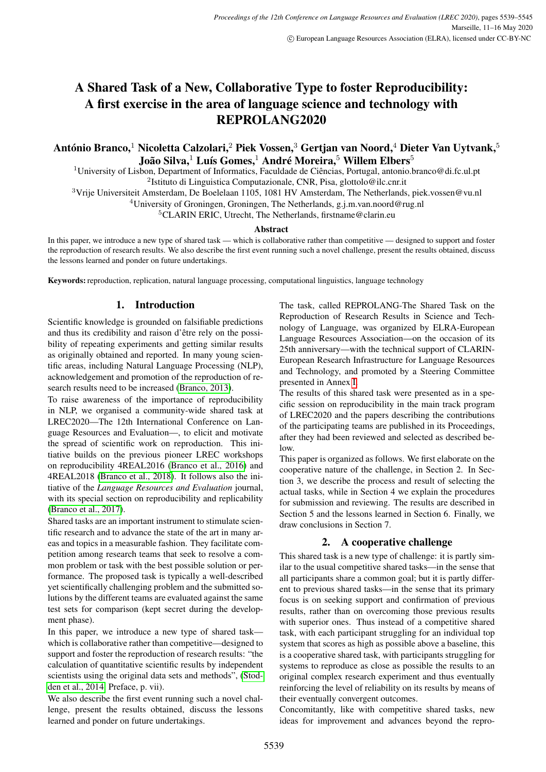# A Shared Task of a New, Collaborative Type to foster Reproducibility: A first exercise in the area of language science and technology with REPROLANG2020

# António Branco, $^1$  Nicoletta Calzolari, $^2$  Piek Vossen, $^3$  Gertjan van Noord, $^4$  Dieter Van Uytvank, $^5$ João Silva, $^1$  Luís Gomes, $^1$  André Moreira, $^5$  Willem Elbers $^5$

<sup>1</sup>University of Lisbon, Department of Informatics, Faculdade de Ciências, Portugal, antonio.branco@di.fc.ul.pt <sup>2</sup>Istituto di Linguistica Computazionale, CNR, Pisa, glottolo@ilc.cnr.it

<sup>3</sup>Vrije Universiteit Amsterdam, De Boelelaan 1105, 1081 HV Amsterdam, The Netherlands, piek.vossen@vu.nl

<sup>4</sup>University of Groningen, Groningen, The Netherlands, g.j.m.van.noord@rug.nl

<sup>5</sup>CLARIN ERIC, Utrecht, The Netherlands, firstname@clarin.eu

#### Abstract

In this paper, we introduce a new type of shared task — which is collaborative rather than competitive — designed to support and foster the reproduction of research results. We also describe the first event running such a novel challenge, present the results obtained, discuss the lessons learned and ponder on future undertakings.

Keywords: reproduction, replication, natural language processing, computational linguistics, language technology

# 1. Introduction

Scientific knowledge is grounded on falsifiable predictions and thus its credibility and raison d'être rely on the possibility of repeating experiments and getting similar results as originally obtained and reported. In many young scientific areas, including Natural Language Processing (NLP), acknowledgement and promotion of the reproduction of research results need to be increased [\(Branco, 2013\)](#page-5-0).

To raise awareness of the importance of reproducibility in NLP, we organised a community-wide shared task at LREC2020—The 12th International Conference on Language Resources and Evaluation—, to elicit and motivate the spread of scientific work on reproduction. This initiative builds on the previous pioneer LREC workshops on reproducibility 4REAL2016 [\(Branco et al., 2016\)](#page-5-1) and 4REAL2018 [\(Branco et al., 2018\)](#page-5-2). It follows also the initiative of the *Language Resources and Evaluation* journal, with its special section on reproducibility and replicability [\(Branco et al., 2017\)](#page-5-3).

Shared tasks are an important instrument to stimulate scientific research and to advance the state of the art in many areas and topics in a measurable fashion. They facilitate competition among research teams that seek to resolve a common problem or task with the best possible solution or performance. The proposed task is typically a well-described yet scientifically challenging problem and the submitted solutions by the different teams are evaluated against the same test sets for comparison (kept secret during the development phase).

In this paper, we introduce a new type of shared task which is collaborative rather than competitive—designed to support and foster the reproduction of research results: "the calculation of quantitative scientific results by independent scientists using the original data sets and methods", [\(Stod](#page-6-0)[den et al., 2014,](#page-6-0) Preface, p. vii).

We also describe the first event running such a novel challenge, present the results obtained, discuss the lessons learned and ponder on future undertakings.

The task, called REPROLANG-The Shared Task on the Reproduction of Research Results in Science and Technology of Language, was organized by ELRA-European Language Resources Association—on the occasion of its 25th anniversary—with the technical support of CLARIN-European Research Infrastructure for Language Resources and Technology, and promoted by a Steering Committee presented in Annex [I.](#page-6-1)

The results of this shared task were presented as in a specific session on reproducibility in the main track program of LREC2020 and the papers describing the contributions of the participating teams are published in its Proceedings, after they had been reviewed and selected as described below.

This paper is organized as follows. We first elaborate on the cooperative nature of the challenge, in Section 2. In Section 3, we describe the process and result of selecting the actual tasks, while in Section 4 we explain the procedures for submission and reviewing. The results are described in Section 5 and the lessons learned in Section 6. Finally, we draw conclusions in Section 7.

# 2. A cooperative challenge

This shared task is a new type of challenge: it is partly similar to the usual competitive shared tasks—in the sense that all participants share a common goal; but it is partly different to previous shared tasks—in the sense that its primary focus is on seeking support and confirmation of previous results, rather than on overcoming those previous results with superior ones. Thus instead of a competitive shared task, with each participant struggling for an individual top system that scores as high as possible above a baseline, this is a cooperative shared task, with participants struggling for systems to reproduce as close as possible the results to an original complex research experiment and thus eventually reinforcing the level of reliability on its results by means of their eventually convergent outcomes.

Concomitantly, like with competitive shared tasks, new ideas for improvement and advances beyond the repro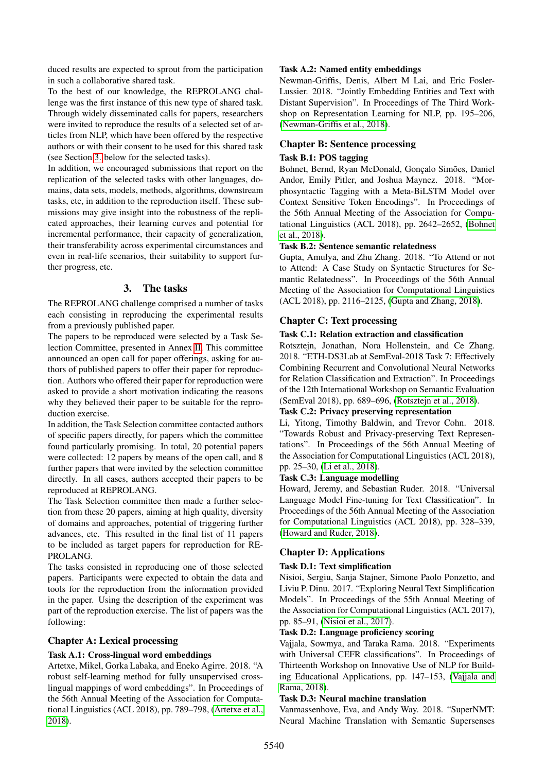duced results are expected to sprout from the participation in such a collaborative shared task.

To the best of our knowledge, the REPROLANG challenge was the first instance of this new type of shared task. Through widely disseminated calls for papers, researchers were invited to reproduce the results of a selected set of articles from NLP, which have been offered by the respective authors or with their consent to be used for this shared task (see Section [3.](#page-1-0) below for the selected tasks).

In addition, we encouraged submissions that report on the replication of the selected tasks with other languages, domains, data sets, models, methods, algorithms, downstream tasks, etc, in addition to the reproduction itself. These submissions may give insight into the robustness of the replicated approaches, their learning curves and potential for incremental performance, their capacity of generalization, their transferability across experimental circumstances and even in real-life scenarios, their suitability to support further progress, etc.

# 3. The tasks

<span id="page-1-0"></span>The REPROLANG challenge comprised a number of tasks each consisting in reproducing the experimental results from a previously published paper.

The papers to be reproduced were selected by a Task Selection Committee, presented in Annex [II.](#page-6-2) This committee announced an open call for paper offerings, asking for authors of published papers to offer their paper for reproduction. Authors who offered their paper for reproduction were asked to provide a short motivation indicating the reasons why they believed their paper to be suitable for the reproduction exercise.

In addition, the Task Selection committee contacted authors of specific papers directly, for papers which the committee found particularly promising. In total, 20 potential papers were collected: 12 papers by means of the open call, and 8 further papers that were invited by the selection committee directly. In all cases, authors accepted their papers to be reproduced at REPROLANG.

The Task Selection committee then made a further selection from these 20 papers, aiming at high quality, diversity of domains and approaches, potential of triggering further advances, etc. This resulted in the final list of 11 papers to be included as target papers for reproduction for RE-PROLANG.

The tasks consisted in reproducing one of those selected papers. Participants were expected to obtain the data and tools for the reproduction from the information provided in the paper. Using the description of the experiment was part of the reproduction exercise. The list of papers was the following:

#### Chapter A: Lexical processing

#### Task A.1: Cross-lingual word embeddings

Artetxe, Mikel, Gorka Labaka, and Eneko Agirre. 2018. "A robust self-learning method for fully unsupervised crosslingual mappings of word embeddings". In Proceedings of the 56th Annual Meeting of the Association for Computational Linguistics (ACL 2018), pp. 789–798, [\(Artetxe et al.,](#page-5-4) [2018\)](#page-5-4).

#### Task A.2: Named entity embeddings

Newman-Griffis, Denis, Albert M Lai, and Eric Fosler-Lussier. 2018. "Jointly Embedding Entities and Text with Distant Supervision". In Proceedings of The Third Workshop on Representation Learning for NLP, pp. 195–206, [\(Newman-Griffis et al., 2018\)](#page-6-3).

### Chapter B: Sentence processing

#### Task B.1: POS tagging

Bohnet, Bernd, Ryan McDonald, Gonçalo Simões, Daniel Andor, Emily Pitler, and Joshua Maynez. 2018. "Morphosyntactic Tagging with a Meta-BiLSTM Model over Context Sensitive Token Encodings". In Proceedings of the 56th Annual Meeting of the Association for Computational Linguistics (ACL 2018), pp. 2642–2652, [\(Bohnet](#page-5-5) [et al., 2018\)](#page-5-5).

#### Task B.2: Sentence semantic relatedness

Gupta, Amulya, and Zhu Zhang. 2018. "To Attend or not to Attend: A Case Study on Syntactic Structures for Semantic Relatedness". In Proceedings of the 56th Annual Meeting of the Association for Computational Linguistics (ACL 2018), pp. 2116–2125, [\(Gupta and Zhang, 2018\)](#page-5-6).

### Chapter C: Text processing

#### Task C.1: Relation extraction and classification

Rotsztejn, Jonathan, Nora Hollenstein, and Ce Zhang. 2018. "ETH-DS3Lab at SemEval-2018 Task 7: Effectively Combining Recurrent and Convolutional Neural Networks for Relation Classification and Extraction". In Proceedings of the 12th International Workshop on Semantic Evaluation (SemEval 2018), pp. 689–696, [\(Rotsztejn et al., 2018\)](#page-6-4).

## Task C.2: Privacy preserving representation

Li, Yitong, Timothy Baldwin, and Trevor Cohn. 2018. "Towards Robust and Privacy-preserving Text Representations". In Proceedings of the 56th Annual Meeting of the Association for Computational Linguistics (ACL 2018), pp. 25–30, [\(Li et al., 2018\)](#page-6-5).

#### Task C.3: Language modelling

Howard, Jeremy, and Sebastian Ruder. 2018. "Universal Language Model Fine-tuning for Text Classification". In Proceedings of the 56th Annual Meeting of the Association for Computational Linguistics (ACL 2018), pp. 328–339, [\(Howard and Ruder, 2018\)](#page-5-7).

#### Chapter D: Applications

#### Task D.1: Text simplification

Nisioi, Sergiu, Sanja Stajner, Simone Paolo Ponzetto, and Liviu P. Dinu. 2017. "Exploring Neural Text Simplification Models". In Proceedings of the 55th Annual Meeting of the Association for Computational Linguistics (ACL 2017), pp. 85–91, [\(Nisioi et al., 2017\)](#page-6-6).

#### Task D.2: Language proficiency scoring

Vajjala, Sowmya, and Taraka Rama. 2018. "Experiments with Universal CEFR classifications". In Proceedings of Thirteenth Workshop on Innovative Use of NLP for Building Educational Applications, pp. 147–153, [\(Vajjala and](#page-6-7) [Rama, 2018\)](#page-6-7).

#### Task D.3: Neural machine translation

Vanmassenhove, Eva, and Andy Way. 2018. "SuperNMT: Neural Machine Translation with Semantic Supersenses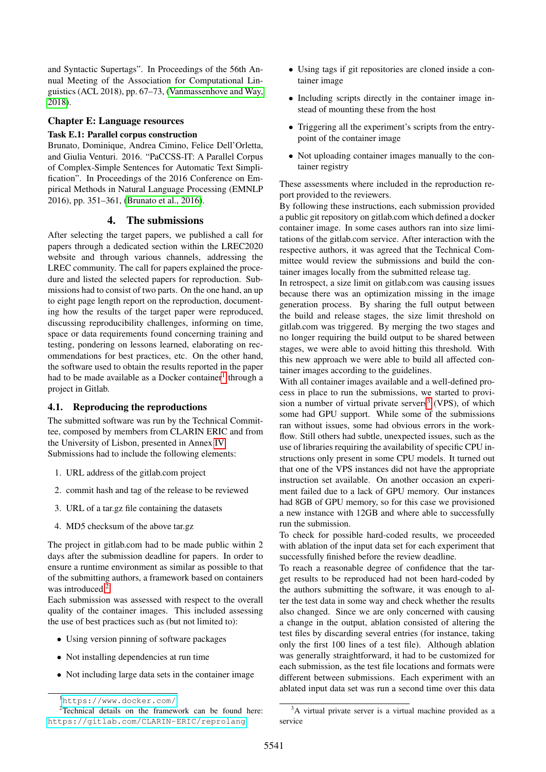and Syntactic Supertags". In Proceedings of the 56th Annual Meeting of the Association for Computational Linguistics (ACL 2018), pp. 67–73, [\(Vanmassenhove and Way,](#page-6-8) [2018\)](#page-6-8).

#### Chapter E: Language resources

#### Task E.1: Parallel corpus construction

Brunato, Dominique, Andrea Cimino, Felice Dell'Orletta, and Giulia Venturi. 2016. "PaCCSS-IT: A Parallel Corpus of Complex-Simple Sentences for Automatic Text Simplification". In Proceedings of the 2016 Conference on Empirical Methods in Natural Language Processing (EMNLP 2016), pp. 351–361, [\(Brunato et al., 2016\)](#page-5-8).

#### 4. The submissions

After selecting the target papers, we published a call for papers through a dedicated section within the LREC2020 website and through various channels, addressing the LREC community. The call for papers explained the procedure and listed the selected papers for reproduction. Submissions had to consist of two parts. On the one hand, an up to eight page length report on the reproduction, documenting how the results of the target paper were reproduced, discussing reproducibility challenges, informing on time, space or data requirements found concerning training and testing, pondering on lessons learned, elaborating on recommendations for best practices, etc. On the other hand, the software used to obtain the results reported in the paper had to be made available as a Docker container<sup>[1](#page-2-0)</sup> through a project in Gitlab.

#### 4.1. Reproducing the reproductions

The submitted software was run by the Technical Committee, composed by members from CLARIN ERIC and from the University of Lisbon, presented in Annex [IV.](#page-6-9) Submissions had to include the following elements:

- 1. URL address of the gitlab.com project
- 2. commit hash and tag of the release to be reviewed
- 3. URL of a tar.gz file containing the datasets
- 4. MD5 checksum of the above tar.gz

The project in gitlab.com had to be made public within 2 days after the submission deadline for papers. In order to ensure a runtime environment as similar as possible to that of the submitting authors, a framework based on containers was introduced.<sup>[2](#page-2-1)</sup>

Each submission was assessed with respect to the overall quality of the container images. This included assessing the use of best practices such as (but not limited to):

- Using version pinning of software packages
- Not installing dependencies at run time
- Not including large data sets in the container image
- Using tags if git repositories are cloned inside a container image
- Including scripts directly in the container image instead of mounting these from the host
- Triggering all the experiment's scripts from the entrypoint of the container image
- Not uploading container images manually to the container registry

These assessments where included in the reproduction report provided to the reviewers.

By following these instructions, each submission provided a public git repository on gitlab.com which defined a docker container image. In some cases authors ran into size limitations of the gitlab.com service. After interaction with the respective authors, it was agreed that the Technical Committee would review the submissions and build the container images locally from the submitted release tag.

In retrospect, a size limit on gitlab.com was causing issues because there was an optimization missing in the image generation process. By sharing the full output between the build and release stages, the size limit threshold on gitlab.com was triggered. By merging the two stages and no longer requiring the build output to be shared between stages, we were able to avoid hitting this threshold. With this new approach we were able to build all affected container images according to the guidelines.

With all container images available and a well-defined process in place to run the submissions, we started to provi-sion a number of virtual private servers<sup>[3](#page-2-2)</sup> (VPS), of which some had GPU support. While some of the submissions ran without issues, some had obvious errors in the workflow. Still others had subtle, unexpected issues, such as the use of libraries requiring the availability of specific CPU instructions only present in some CPU models. It turned out that one of the VPS instances did not have the appropriate instruction set available. On another occasion an experiment failed due to a lack of GPU memory. Our instances had 8GB of GPU memory, so for this case we provisioned a new instance with 12GB and where able to successfully run the submission.

To check for possible hard-coded results, we proceeded with ablation of the input data set for each experiment that successfully finished before the review deadline.

To reach a reasonable degree of confidence that the target results to be reproduced had not been hard-coded by the authors submitting the software, it was enough to alter the test data in some way and check whether the results also changed. Since we are only concerned with causing a change in the output, ablation consisted of altering the test files by discarding several entries (for instance, taking only the first 100 lines of a test file). Although ablation was generally straightforward, it had to be customized for each submission, as the test file locations and formats were different between submissions. Each experiment with an ablated input data set was run a second time over this data

<span id="page-2-1"></span><span id="page-2-0"></span><sup>1</sup><https://www.docker.com/>

<sup>&</sup>lt;sup>2</sup>Technical details on the framework can be found here: <https://gitlab.com/CLARIN-ERIC/reprolang>

<span id="page-2-2"></span><sup>&</sup>lt;sup>3</sup>A virtual private server is a virtual machine provided as a service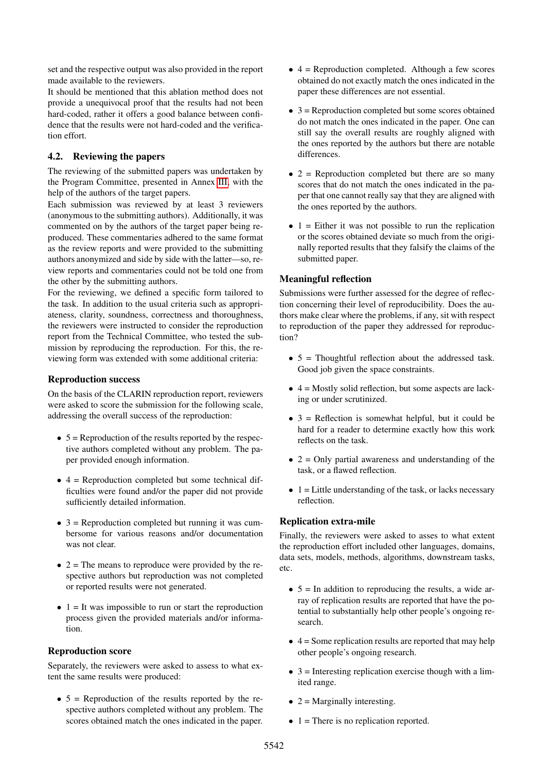set and the respective output was also provided in the report made available to the reviewers.

It should be mentioned that this ablation method does not provide a unequivocal proof that the results had not been hard-coded, rather it offers a good balance between confidence that the results were not hard-coded and the verification effort.

#### 4.2. Reviewing the papers

The reviewing of the submitted papers was undertaken by the Program Committee, presented in Annex [III,](#page-6-10) with the help of the authors of the target papers.

Each submission was reviewed by at least 3 reviewers (anonymous to the submitting authors). Additionally, it was commented on by the authors of the target paper being reproduced. These commentaries adhered to the same format as the review reports and were provided to the submitting authors anonymized and side by side with the latter—so, review reports and commentaries could not be told one from the other by the submitting authors.

For the reviewing, we defined a specific form tailored to the task. In addition to the usual criteria such as appropriateness, clarity, soundness, correctness and thoroughness, the reviewers were instructed to consider the reproduction report from the Technical Committee, who tested the submission by reproducing the reproduction. For this, the reviewing form was extended with some additional criteria:

#### Reproduction success

On the basis of the CLARIN reproduction report, reviewers were asked to score the submission for the following scale, addressing the overall success of the reproduction:

- $\bullet$  5 = Reproduction of the results reported by the respective authors completed without any problem. The paper provided enough information.
- $\bullet$  4 = Reproduction completed but some technical difficulties were found and/or the paper did not provide sufficiently detailed information.
- $3 =$  Reproduction completed but running it was cumbersome for various reasons and/or documentation was not clear.
- $\bullet$  2 = The means to reproduce were provided by the respective authors but reproduction was not completed or reported results were not generated.
- $\bullet$  1 = It was impossible to run or start the reproduction process given the provided materials and/or information.

#### Reproduction score

Separately, the reviewers were asked to assess to what extent the same results were produced:

 $\bullet$  5 = Reproduction of the results reported by the respective authors completed without any problem. The scores obtained match the ones indicated in the paper.

- $\bullet$  4 = Reproduction completed. Although a few scores obtained do not exactly match the ones indicated in the paper these differences are not essential.
- $\bullet$  3 = Reproduction completed but some scores obtained do not match the ones indicated in the paper. One can still say the overall results are roughly aligned with the ones reported by the authors but there are notable differences.
- $\bullet$  2 = Reproduction completed but there are so many scores that do not match the ones indicated in the paper that one cannot really say that they are aligned with the ones reported by the authors.
- $\bullet$  1 = Either it was not possible to run the replication or the scores obtained deviate so much from the originally reported results that they falsify the claims of the submitted paper.

#### Meaningful reflection

Submissions were further assessed for the degree of reflection concerning their level of reproducibility. Does the authors make clear where the problems, if any, sit with respect to reproduction of the paper they addressed for reproduction?

- $\bullet$  5 = Thoughtful reflection about the addressed task. Good job given the space constraints.
- $\bullet$  4 = Mostly solid reflection, but some aspects are lacking or under scrutinized.
- $3$  = Reflection is somewhat helpful, but it could be hard for a reader to determine exactly how this work reflects on the task.
- $\bullet$  2 = Only partial awareness and understanding of the task, or a flawed reflection.
- $\bullet$  1 = Little understanding of the task, or lacks necessary reflection.

#### Replication extra-mile

Finally, the reviewers were asked to asses to what extent the reproduction effort included other languages, domains, data sets, models, methods, algorithms, downstream tasks, etc.

- $\bullet$  5 = In addition to reproducing the results, a wide array of replication results are reported that have the potential to substantially help other people's ongoing research.
- $\bullet$  4 = Some replication results are reported that may help other people's ongoing research.
- $\bullet$  3 = Interesting replication exercise though with a limited range.
- $2 =$  Marginally interesting.
- $\bullet$  1 = There is no replication reported.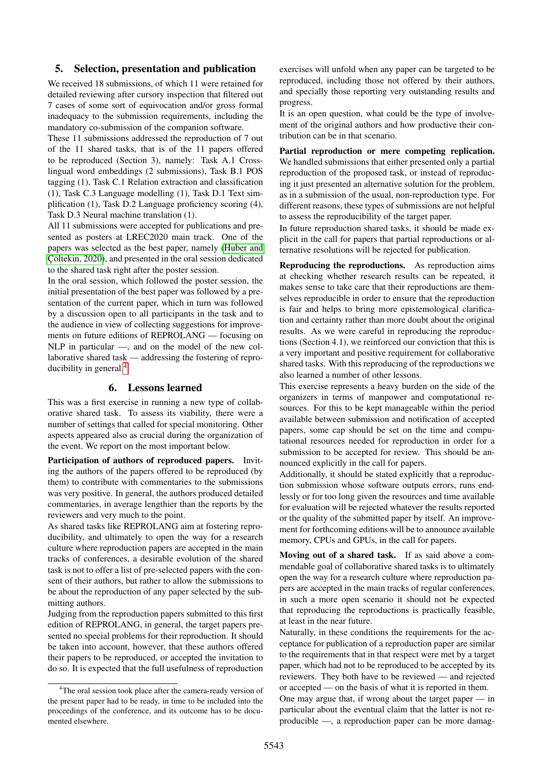#### 5. Selection, presentation and publication

We received 18 submissions, of which 11 were retained for detailed reviewing after cursory inspection that filtered out 7 cases of some sort of equivocation and/or gross formal inadequacy to the submission requirements, including the mandatory co-submission of the companion software.

These 11 submissions addressed the reproduction of 7 out of the 11 shared tasks, that is of the 11 papers offered to be reproduced (Section 3), namely: Task A.1 Crosslingual word embeddings (2 submissions), Task B.1 POS tagging (1), Task C.1 Relation extraction and classification (1), Task C.3 Language modelling (1), Task D.1 Text simplification (1), Task D.2 Language proficiency scoring (4), Task D.3 Neural machine translation (1).

All 11 submissions were accepted for publications and presented as posters at LREC2020 main track. One of the papers was selected as the best paper, namely [\(Huber and](#page-5-9) Cöltekin, 2020), and presented in the oral session dedicated to the shared task right after the poster session.

In the oral session, which followed the poster session, the initial presentation of the best paper was followed by a presentation of the current paper, which in turn was followed by a discussion open to all participants in the task and to the audience in view of collecting suggestions for improvements on future editions of REPROLANG — focusing on NLP in particular —, and on the model of the new collaborative shared task — addressing the fostering of reproducibility in general.[4](#page-4-0)

#### 6. Lessons learned

This was a first exercise in running a new type of collaborative shared task. To assess its viability, there were a number of settings that called for special monitoring. Other aspects appeared also as crucial during the organization of the event. We report on the most important below.

Participation of authors of reproduced papers. Inviting the authors of the papers offered to be reproduced (by them) to contribute with commentaries to the submissions was very positive. In general, the authors produced detailed commentaries, in average lengthier than the reports by the reviewers and very much to the point.

As shared tasks like REPROLANG aim at fostering reproducibility, and ultimately to open the way for a research culture where reproduction papers are accepted in the main tracks of conferences, a desirable evolution of the shared task is not to offer a list of pre-selected papers with the consent of their authors, but rather to allow the submissions to be about the reproduction of any paper selected by the submitting authors.

Judging from the reproduction papers submitted to this first edition of REPROLANG, in general, the target papers presented no special problems for their reproduction. It should be taken into account, however, that these authors offered their papers to be reproduced, or accepted the invitation to do so. It is expected that the full usefulness of reproduction exercises will unfold when any paper can be targeted to be reproduced, including those not offered by their authors, and specially those reporting very outstanding results and progress.

It is an open question, what could be the type of involvement of the original authors and how productive their contribution can be in that scenario.

Partial reproduction or mere competing replication. We handled submissions that either presented only a partial reproduction of the proposed task, or instead of reproducing it just presented an alternative solution for the problem, as in a submission of the usual, non-reproduction type. For different reasons, these types of submissions are not helpful to assess the reproducibility of the target paper.

In future reproduction shared tasks, it should be made explicit in the call for papers that partial reproductions or alternative resolutions will be rejected for publication.

Reproducing the reproductions. As reproduction aims at checking whether research results can be repeated, it makes sense to take care that their reproductions are themselves reproducible in order to ensure that the reproduction is fair and helps to bring more epistemological clarification and certainty rather than more doubt about the original results. As we were careful in reproducing the reproductions (Section 4.1), we reinforced our conviction that this is a very important and positive requirement for collaborative shared tasks. With this reproducing of the reproductions we also learned a number of other lessons.

This exercise represents a heavy burden on the side of the organizers in terms of manpower and computational resources. For this to be kept manageable within the period available between submission and notification of accepted papers, some cap should be set on the time and computational resources needed for reproduction in order for a submission to be accepted for review. This should be announced explicitly in the call for papers.

Additionally, it should be stated explicitly that a reproduction submission whose software outputs errors, runs endlessly or for too long given the resources and time available for evaluation will be rejected whatever the results reported or the quality of the submitted paper by itself. An improvement for forthcoming editions will be to announce available memory, CPUs and GPUs, in the call for papers.

Moving out of a shared task. If as said above a commendable goal of collaborative shared tasks is to ultimately open the way for a research culture where reproduction papers are accepted in the main tracks of regular conferences, in such a more open scenario it should not be expected that reproducing the reproductions is practically feasible, at least in the near future.

Naturally, in these conditions the requirements for the acceptance for publication of a reproduction paper are similar to the requirements that in that respect were met by a target paper, which had not to be reproduced to be accepted by its reviewers. They both have to be reviewed — and rejected or accepted — on the basis of what it is reported in them.

One may argue that, if wrong about the target paper — in particular about the eventual claim that the latter is not reproducible —, a reproduction paper can be more damag-

<span id="page-4-0"></span><sup>&</sup>lt;sup>4</sup>The oral session took place after the camera-ready version of the present paper had to be ready, in time to be included into the proceedings of the conference, and its outcome has to be documented elsewhere.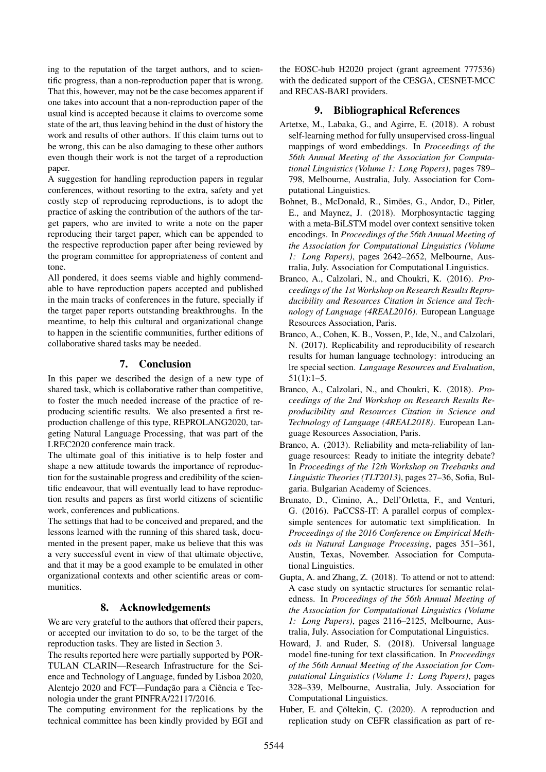ing to the reputation of the target authors, and to scientific progress, than a non-reproduction paper that is wrong. That this, however, may not be the case becomes apparent if one takes into account that a non-reproduction paper of the usual kind is accepted because it claims to overcome some state of the art, thus leaving behind in the dust of history the work and results of other authors. If this claim turns out to be wrong, this can be also damaging to these other authors even though their work is not the target of a reproduction paper.

A suggestion for handling reproduction papers in regular conferences, without resorting to the extra, safety and yet costly step of reproducing reproductions, is to adopt the practice of asking the contribution of the authors of the target papers, who are invited to write a note on the paper reproducing their target paper, which can be appended to the respective reproduction paper after being reviewed by the program committee for appropriateness of content and tone.

All pondered, it does seems viable and highly commendable to have reproduction papers accepted and published in the main tracks of conferences in the future, specially if the target paper reports outstanding breakthroughs. In the meantime, to help this cultural and organizational change to happen in the scientific communities, further editions of collaborative shared tasks may be needed.

# 7. Conclusion

In this paper we described the design of a new type of shared task, which is collaborative rather than competitive, to foster the much needed increase of the practice of reproducing scientific results. We also presented a first reproduction challenge of this type, REPROLANG2020, targeting Natural Language Processing, that was part of the LREC2020 conference main track.

The ultimate goal of this initiative is to help foster and shape a new attitude towards the importance of reproduction for the sustainable progress and credibility of the scientific endeavour, that will eventually lead to have reproduction results and papers as first world citizens of scientific work, conferences and publications.

The settings that had to be conceived and prepared, and the lessons learned with the running of this shared task, documented in the present paper, make us believe that this was a very successful event in view of that ultimate objective, and that it may be a good example to be emulated in other organizational contexts and other scientific areas or communities.

# 8. Acknowledgements

We are very grateful to the authors that offered their papers, or accepted our invitation to do so, to be the target of the reproduction tasks. They are listed in Section 3.

The results reported here were partially supported by POR-TULAN CLARIN—Research Infrastructure for the Science and Technology of Language, funded by Lisboa 2020, Alentejo 2020 and FCT—Fundação para a Ciência e Tecnologia under the grant PINFRA/22117/2016.

The computing environment for the replications by the technical committee has been kindly provided by EGI and the EOSC-hub H2020 project (grant agreement 777536) with the dedicated support of the CESGA, CESNET-MCC and RECAS-BARI providers.

### 9. Bibliographical References

- <span id="page-5-4"></span>Artetxe, M., Labaka, G., and Agirre, E. (2018). A robust self-learning method for fully unsupervised cross-lingual mappings of word embeddings. In *Proceedings of the 56th Annual Meeting of the Association for Computational Linguistics (Volume 1: Long Papers)*, pages 789– 798, Melbourne, Australia, July. Association for Computational Linguistics.
- <span id="page-5-5"></span>Bohnet, B., McDonald, R., Simões, G., Andor, D., Pitler, E., and Maynez, J. (2018). Morphosyntactic tagging with a meta-BiLSTM model over context sensitive token encodings. In *Proceedings of the 56th Annual Meeting of the Association for Computational Linguistics (Volume 1: Long Papers)*, pages 2642–2652, Melbourne, Australia, July. Association for Computational Linguistics.
- <span id="page-5-1"></span>Branco, A., Calzolari, N., and Choukri, K. (2016). *Proceedings of the 1st Workshop on Research Results Reproducibility and Resources Citation in Science and Technology of Language (4REAL2016)*. European Language Resources Association, Paris.
- <span id="page-5-3"></span>Branco, A., Cohen, K. B., Vossen, P., Ide, N., and Calzolari, N. (2017). Replicability and reproducibility of research results for human language technology: introducing an lre special section. *Language Resources and Evaluation*, 51(1):1–5.
- <span id="page-5-2"></span>Branco, A., Calzolari, N., and Choukri, K. (2018). *Proceedings of the 2nd Workshop on Research Results Reproducibility and Resources Citation in Science and Technology of Language (4REAL2018)*. European Language Resources Association, Paris.
- <span id="page-5-0"></span>Branco, A. (2013). Reliability and meta-reliability of language resources: Ready to initiate the integrity debate? In *Proceedings of the 12th Workshop on Treebanks and Linguistic Theories (TLT2013)*, pages 27–36, Sofia, Bulgaria. Bulgarian Academy of Sciences.
- <span id="page-5-8"></span>Brunato, D., Cimino, A., Dell'Orletta, F., and Venturi, G. (2016). PaCCSS-IT: A parallel corpus of complexsimple sentences for automatic text simplification. In *Proceedings of the 2016 Conference on Empirical Methods in Natural Language Processing*, pages 351–361, Austin, Texas, November. Association for Computational Linguistics.
- <span id="page-5-6"></span>Gupta, A. and Zhang, Z. (2018). To attend or not to attend: A case study on syntactic structures for semantic relatedness. In *Proceedings of the 56th Annual Meeting of the Association for Computational Linguistics (Volume 1: Long Papers)*, pages 2116–2125, Melbourne, Australia, July. Association for Computational Linguistics.
- <span id="page-5-7"></span>Howard, J. and Ruder, S. (2018). Universal language model fine-tuning for text classification. In *Proceedings of the 56th Annual Meeting of the Association for Computational Linguistics (Volume 1: Long Papers)*, pages 328–339, Melbourne, Australia, July. Association for Computational Linguistics.
- <span id="page-5-9"></span>Huber, E. and Çöltekin, Ç. (2020). A reproduction and replication study on CEFR classification as part of re-